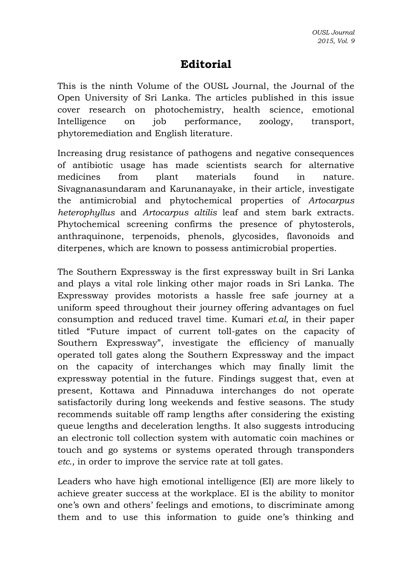## **Editorial**

This is the ninth Volume of the OUSL Journal, the Journal of the Open University of Sri Lanka. The articles published in this issue cover research on photochemistry, health science, emotional Intelligence on job performance, zoology, transport, phytoremediation and English literature.

Increasing drug resistance of pathogens and negative consequences of antibiotic usage has made scientists search for alternative medicines from plant materials found in nature. Sivagnanasundaram and Karunanayake, in their article, investigate the antimicrobial and phytochemical properties of *Artocarpus heterophyllus* and *Artocarpus altilis* leaf and stem bark extracts. Phytochemical screening confirms the presence of phytosterols, anthraquinone, terpenoids, phenols, glycosides, flavonoids and diterpenes, which are known to possess antimicrobial properties.

The Southern Expressway is the first expressway built in Sri Lanka and plays a vital role linking other major roads in Sri Lanka. The Expressway provides motorists a hassle free safe journey at a uniform speed throughout their journey offering advantages on fuel consumption and reduced travel time. Kumari *et.al,* in their paper titled "Future impact of current toll-gates on the capacity of Southern Expressway", investigate the efficiency of manually operated toll gates along the Southern Expressway and the impact on the capacity of interchanges which may finally limit the expressway potential in the future. Findings suggest that, even at present, Kottawa and Pinnaduwa interchanges do not operate satisfactorily during long weekends and festive seasons. The study recommends suitable off ramp lengths after considering the existing queue lengths and deceleration lengths. It also suggests introducing an electronic toll collection system with automatic coin machines or touch and go systems or systems operated through transponders *etc.,* in order to improve the service rate at toll gates.

Leaders who have high emotional intelligence (EI) are more likely to achieve greater success at the workplace. EI is the ability to monitor one's own and others' feelings and emotions, to discriminate among them and to use this information to guide one's thinking and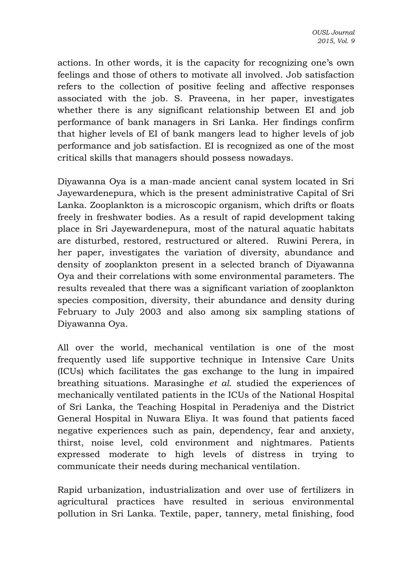actions. In other words, it is the capacity for recognizing one's own feelings and those of others to motivate all involved. Job satisfaction refers to the collection of positive feeling and affective responses associated with the job. S. Praveena, in her paper, investigates whether there is any significant relationship between EI and job performance of bank managers in Sri Lanka. Her findings confirm that higher levels of EI of bank mangers lead to higher levels of job performance and job satisfaction. EI is recognized as one of the most critical skills that managers should possess nowadays.

Diyawanna Oya is a man-made ancient canal system located in Sri Jayewardenepura, which is the present administrative Capital of Sri Lanka. Zooplankton is a microscopic organism, which drifts or floats freely in freshwater bodies. As a result of rapid development taking place in Sri Jayewardenepura, most of the natural aquatic habitats are disturbed, restored, restructured or altered. Ruwini Perera, in her paper, investigates the variation of diversity, abundance and density of zooplankton present in a selected branch of Diyawanna Oya and their correlations with some environmental parameters. The results revealed that there was a significant variation of zooplankton species composition, diversity, their abundance and density during February to July 2003 and also among six sampling stations of Diyawanna Oya.

All over the world, mechanical ventilation is one of the most frequently used life supportive technique in Intensive Care Units (ICUs) which facilitates the gas exchange to the lung in impaired breathing situations. Marasinghe *et al*. studied the experiences of mechanically ventilated patients in the ICUs of the National Hospital of Sri Lanka, the Teaching Hospital in Peradeniya and the District General Hospital in Nuwara Eliya. It was found that patients faced negative experiences such as pain, dependency, fear and anxiety, thirst, noise level, cold environment and nightmares. Patients expressed moderate to high levels of distress in trying to communicate their needs during mechanical ventilation.

Rapid urbanization, industrialization and over use of fertilizers in agricultural practices have resulted in serious environmental pollution in Sri Lanka. Textile, paper, tannery, metal finishing, food